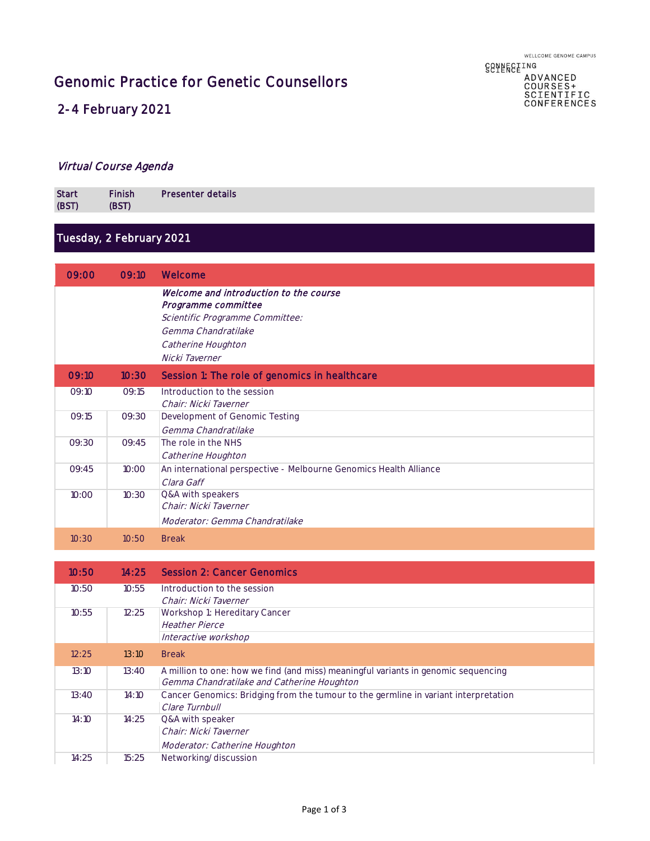Genomic Practice for Genetic Counsellors

# **GGAFEGEING** ADVANCED<br>COURSES+<br>SCIENTIFIC<br>CONFERENCES

## 2-4 February 2021

#### Virtual Course Agenda

| <b>Start</b><br>(BST) | <b>Finish</b><br><b>BST</b> | Presenter details |
|-----------------------|-----------------------------|-------------------|
|                       |                             |                   |

# Tuesday, 2 February 2021

| 09:00 | 09:10 | Welcome                                                           |
|-------|-------|-------------------------------------------------------------------|
|       |       | Welcome and introduction to the course                            |
|       |       | Programme committee<br>Scientific Programme Committee:            |
|       |       | Gemma Chandratilake                                               |
|       |       | Catherine Houghton                                                |
|       |       | Nicki Taverner                                                    |
|       |       |                                                                   |
| 09:10 | 10:30 | Session 1: The role of genomics in healthcare                     |
| 09:10 | 09:15 | Introduction to the session                                       |
|       |       | Chair: Nicki Taverner                                             |
| 09:15 | 09:30 | Development of Genomic Testing                                    |
|       |       | Gemma Chandratilake                                               |
| 09:30 | 09:45 | The role in the NHS                                               |
|       |       | Catherine Houghton                                                |
| 09:45 | 10:00 | An international perspective - Melbourne Genomics Health Alliance |
|       |       | Clara Gaff                                                        |
| 10:00 | 10:30 | Q&A with speakers                                                 |
|       |       | Chair: Nicki Taverner                                             |
|       |       | Moderator: Gemma Chandratilake                                    |
| 10:30 | 10:50 | <b>Break</b>                                                      |

| 10:50 | 14:25 | <b>Session 2: Cancer Genomics</b>                                                   |
|-------|-------|-------------------------------------------------------------------------------------|
| 10:50 | 10:55 | Introduction to the session                                                         |
|       |       | Chair: Nicki Taverner                                                               |
| 10:55 | 12:25 | Workshop 1: Hereditary Cancer                                                       |
|       |       | <i>Heather Pierce</i>                                                               |
|       |       | Interactive workshop                                                                |
| 12:25 | 13:10 | <b>Break</b>                                                                        |
| 13:10 | 13:40 | A million to one: how we find (and miss) meaningful variants in genomic sequencing  |
|       |       | Gemma Chandratilake and Catherine Houghton                                          |
| 13:40 | 14:10 | Cancer Genomics: Bridging from the tumour to the germline in variant interpretation |
|       |       | Clare Turnbull                                                                      |
| 14:10 | 14:25 | Q&A with speaker                                                                    |
|       |       | Chair: Nicki Taverner                                                               |
|       |       | Moderator: Catherine Houghton                                                       |
| 14:25 | 15:25 | Networking/discussion                                                               |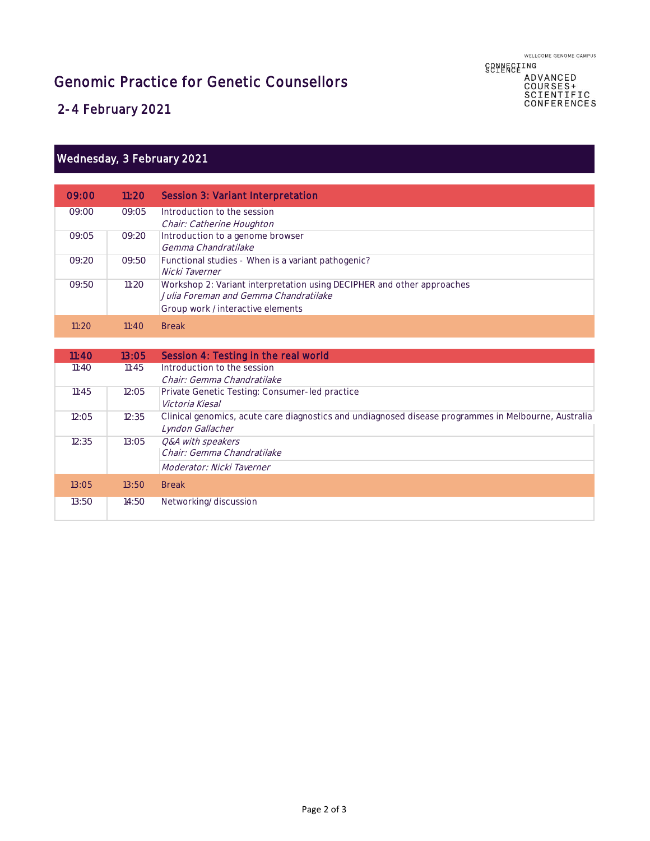WELLCOME GENOME CAMPUS **88ABE8EING** 

ADVANCED<br>COURSES+<br>SCIENTIFIC<br>CONFERENCES

Genomic Practice for Genetic Counsellors

2-4 February 2021

#### Wednesday, 3 February 2021

| 09:00 | 11:20 | Session 3: Variant Interpretation                                      |
|-------|-------|------------------------------------------------------------------------|
| 09:00 | 09:05 | Introduction to the session                                            |
|       |       | Chair: Catherine Houghton                                              |
| 09:05 | 09:20 | Introduction to a genome browser                                       |
|       |       | Gemma Chandratilake                                                    |
| 09:20 | 09:50 | Functional studies - When is a variant pathogenic?                     |
|       |       | Nicki Taverner                                                         |
| 09:50 | 11:20 | Workshop 2: Variant interpretation using DECIPHER and other approaches |
|       |       | Julia Foreman and Gemma Chandratilake                                  |
|       |       | Group work /interactive elements                                       |
| 11:20 | 11:40 | <b>Break</b>                                                           |

| 11:40 | 13:05 | Session 4: Testing in the real world                                                                 |
|-------|-------|------------------------------------------------------------------------------------------------------|
| 11:40 | 11:45 | Introduction to the session                                                                          |
|       |       | Chair: Gemma Chandratilake                                                                           |
| 11:45 | 12:05 | Private Genetic Testing: Consumer-led practice                                                       |
|       |       | Victoria Kiesal                                                                                      |
| 12:05 | 12:35 | Clinical genomics, acute care diagnostics and undiagnosed disease programmes in Melbourne, Australia |
|       |       | Lyndon Gallacher                                                                                     |
| 12:35 | 13:05 | O&A with speakers                                                                                    |
|       |       | Chair: Gemma Chandratilake                                                                           |
|       |       | Moderator: Nicki Taverner                                                                            |
| 13:05 | 13:50 | <b>Break</b>                                                                                         |
|       |       |                                                                                                      |
| 13:50 | 14:50 | Networking/discussion                                                                                |